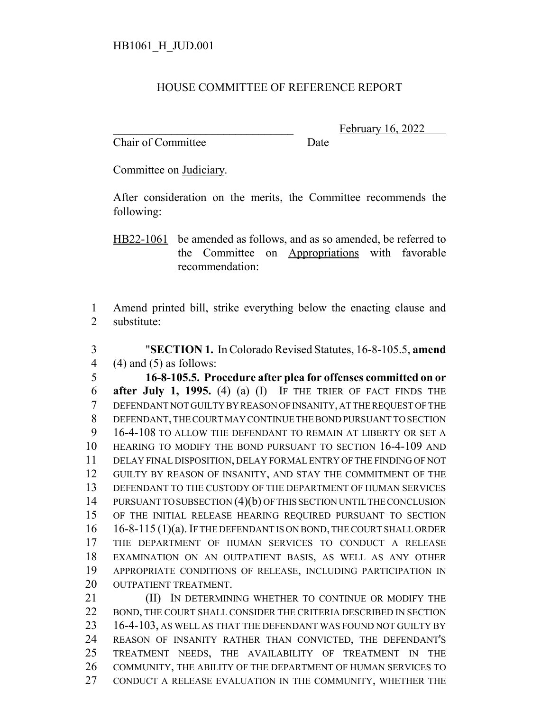## HOUSE COMMITTEE OF REFERENCE REPORT

Chair of Committee Date

February 16, 2022

Committee on Judiciary.

After consideration on the merits, the Committee recommends the following:

HB22-1061 be amended as follows, and as so amended, be referred to the Committee on Appropriations with favorable recommendation:

 Amend printed bill, strike everything below the enacting clause and substitute:

 "**SECTION 1.** In Colorado Revised Statutes, 16-8-105.5, **amend** 4  $(4)$  and  $(5)$  as follows:

 **16-8-105.5. Procedure after plea for offenses committed on or after July 1, 1995.** (4) (a) (I) IF THE TRIER OF FACT FINDS THE DEFENDANT NOT GUILTY BY REASON OF INSANITY, AT THE REQUEST OF THE DEFENDANT, THE COURT MAY CONTINUE THE BOND PURSUANT TO SECTION 16-4-108 TO ALLOW THE DEFENDANT TO REMAIN AT LIBERTY OR SET A HEARING TO MODIFY THE BOND PURSUANT TO SECTION 16-4-109 AND DELAY FINAL DISPOSITION, DELAY FORMAL ENTRY OF THE FINDING OF NOT GUILTY BY REASON OF INSANITY, AND STAY THE COMMITMENT OF THE DEFENDANT TO THE CUSTODY OF THE DEPARTMENT OF HUMAN SERVICES 14 PURSUANT TO SUBSECTION (4)(b) OF THIS SECTION UNTIL THE CONCLUSION OF THE INITIAL RELEASE HEARING REQUIRED PURSUANT TO SECTION 16-8-115 (1)(a). IF THE DEFENDANT IS ON BOND, THE COURT SHALL ORDER THE DEPARTMENT OF HUMAN SERVICES TO CONDUCT A RELEASE EXAMINATION ON AN OUTPATIENT BASIS, AS WELL AS ANY OTHER APPROPRIATE CONDITIONS OF RELEASE, INCLUDING PARTICIPATION IN 20 OUTPATIENT TREATMENT.

**III)** IN DETERMINING WHETHER TO CONTINUE OR MODIFY THE BOND, THE COURT SHALL CONSIDER THE CRITERIA DESCRIBED IN SECTION 16-4-103, AS WELL AS THAT THE DEFENDANT WAS FOUND NOT GUILTY BY REASON OF INSANITY RATHER THAN CONVICTED, THE DEFENDANT'S TREATMENT NEEDS, THE AVAILABILITY OF TREATMENT IN THE COMMUNITY, THE ABILITY OF THE DEPARTMENT OF HUMAN SERVICES TO CONDUCT A RELEASE EVALUATION IN THE COMMUNITY, WHETHER THE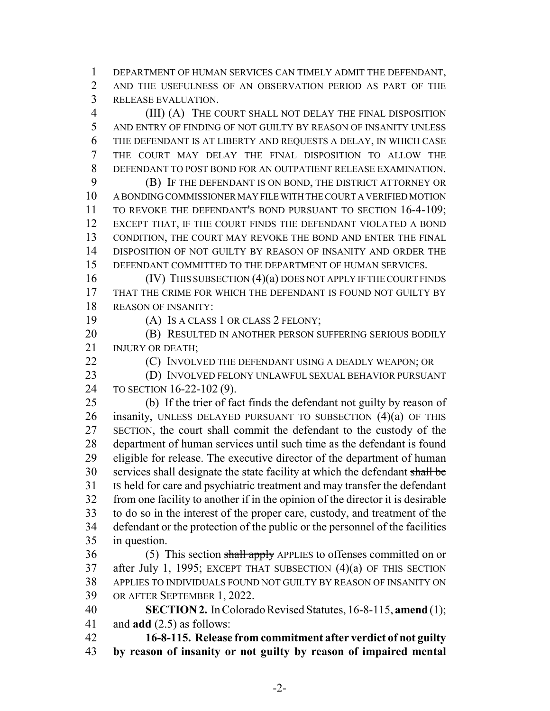DEPARTMENT OF HUMAN SERVICES CAN TIMELY ADMIT THE DEFENDANT, AND THE USEFULNESS OF AN OBSERVATION PERIOD AS PART OF THE RELEASE EVALUATION.

 (III) (A) THE COURT SHALL NOT DELAY THE FINAL DISPOSITION AND ENTRY OF FINDING OF NOT GUILTY BY REASON OF INSANITY UNLESS THE DEFENDANT IS AT LIBERTY AND REQUESTS A DELAY, IN WHICH CASE THE COURT MAY DELAY THE FINAL DISPOSITION TO ALLOW THE DEFENDANT TO POST BOND FOR AN OUTPATIENT RELEASE EXAMINATION.

 (B) IF THE DEFENDANT IS ON BOND, THE DISTRICT ATTORNEY OR A BONDING COMMISSIONER MAY FILE WITH THE COURT A VERIFIED MOTION 11 TO REVOKE THE DEFENDANT'S BOND PURSUANT TO SECTION 16-4-109; EXCEPT THAT, IF THE COURT FINDS THE DEFENDANT VIOLATED A BOND CONDITION, THE COURT MAY REVOKE THE BOND AND ENTER THE FINAL DISPOSITION OF NOT GUILTY BY REASON OF INSANITY AND ORDER THE DEFENDANT COMMITTED TO THE DEPARTMENT OF HUMAN SERVICES.

16 (IV) THIS SUBSECTION (4)(a) DOES NOT APPLY IF THE COURT FINDS THAT THE CRIME FOR WHICH THE DEFENDANT IS FOUND NOT GUILTY BY REASON OF INSANITY:

(A) IS A CLASS 1 OR CLASS 2 FELONY;

**(B) RESULTED IN ANOTHER PERSON SUFFERING SERIOUS BODILY** 21 INJURY OR DEATH:

**(C)** INVOLVED THE DEFENDANT USING A DEADLY WEAPON; OR

 (D) INVOLVED FELONY UNLAWFUL SEXUAL BEHAVIOR PURSUANT TO SECTION 16-22-102 (9).

 (b) If the trier of fact finds the defendant not guilty by reason of 26 insanity, UNLESS DELAYED PURSUANT TO SUBSECTION  $(4)(a)$  OF THIS SECTION, the court shall commit the defendant to the custody of the department of human services until such time as the defendant is found eligible for release. The executive director of the department of human 30 services shall designate the state facility at which the defendant shall be IS held for care and psychiatric treatment and may transfer the defendant from one facility to another if in the opinion of the director it is desirable to do so in the interest of the proper care, custody, and treatment of the defendant or the protection of the public or the personnel of the facilities in question.

36 (5) This section shall apply APPLIES to offenses committed on or after July 1, 1995; EXCEPT THAT SUBSECTION (4)(a) OF THIS SECTION APPLIES TO INDIVIDUALS FOUND NOT GUILTY BY REASON OF INSANITY ON OR AFTER SEPTEMBER 1, 2022.

 **SECTION 2.** In Colorado Revised Statutes, 16-8-115, **amend** (1); and **add** (2.5) as follows:

 **16-8-115. Release from commitment after verdict of not guilty by reason of insanity or not guilty by reason of impaired mental**

-2-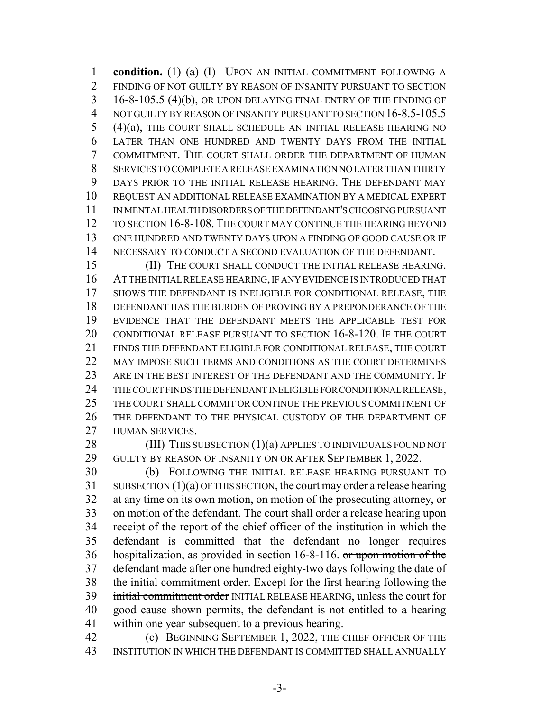**condition.** (1) (a) (I) UPON AN INITIAL COMMITMENT FOLLOWING A FINDING OF NOT GUILTY BY REASON OF INSANITY PURSUANT TO SECTION 16-8-105.5 (4)(b), OR UPON DELAYING FINAL ENTRY OF THE FINDING OF NOT GUILTY BY REASON OF INSANITY PURSUANT TO SECTION 16-8.5-105.5 (4)(a), THE COURT SHALL SCHEDULE AN INITIAL RELEASE HEARING NO LATER THAN ONE HUNDRED AND TWENTY DAYS FROM THE INITIAL COMMITMENT. THE COURT SHALL ORDER THE DEPARTMENT OF HUMAN SERVICES TO COMPLETE A RELEASE EXAMINATION NO LATER THAN THIRTY DAYS PRIOR TO THE INITIAL RELEASE HEARING. THE DEFENDANT MAY REQUEST AN ADDITIONAL RELEASE EXAMINATION BY A MEDICAL EXPERT IN MENTAL HEALTH DISORDERS OF THE DEFENDANT'S CHOOSING PURSUANT TO SECTION 16-8-108. THE COURT MAY CONTINUE THE HEARING BEYOND ONE HUNDRED AND TWENTY DAYS UPON A FINDING OF GOOD CAUSE OR IF NECESSARY TO CONDUCT A SECOND EVALUATION OF THE DEFENDANT.

 (II) THE COURT SHALL CONDUCT THE INITIAL RELEASE HEARING. AT THE INITIAL RELEASE HEARING, IF ANY EVIDENCE IS INTRODUCED THAT SHOWS THE DEFENDANT IS INELIGIBLE FOR CONDITIONAL RELEASE, THE DEFENDANT HAS THE BURDEN OF PROVING BY A PREPONDERANCE OF THE EVIDENCE THAT THE DEFENDANT MEETS THE APPLICABLE TEST FOR CONDITIONAL RELEASE PURSUANT TO SECTION 16-8-120. IF THE COURT FINDS THE DEFENDANT ELIGIBLE FOR CONDITIONAL RELEASE, THE COURT 22 MAY IMPOSE SUCH TERMS AND CONDITIONS AS THE COURT DETERMINES ARE IN THE BEST INTEREST OF THE DEFENDANT AND THE COMMUNITY. IF 24 THE COURT FINDS THE DEFENDANT INELIGIBLE FOR CONDITIONAL RELEASE, THE COURT SHALL COMMIT OR CONTINUE THE PREVIOUS COMMITMENT OF THE DEFENDANT TO THE PHYSICAL CUSTODY OF THE DEPARTMENT OF HUMAN SERVICES.

28 (III) THIS SUBSECTION (1)(a) APPLIES TO INDIVIDUALS FOUND NOT GUILTY BY REASON OF INSANITY ON OR AFTER SEPTEMBER 1, 2022.

 (b) FOLLOWING THE INITIAL RELEASE HEARING PURSUANT TO SUBSECTION (1)(a) OF THIS SECTION, the court may order a release hearing at any time on its own motion, on motion of the prosecuting attorney, or on motion of the defendant. The court shall order a release hearing upon receipt of the report of the chief officer of the institution in which the defendant is committed that the defendant no longer requires hospitalization, as provided in section 16-8-116. or upon motion of the defendant made after one hundred eighty-two days following the date of the initial commitment order. Except for the first hearing following the 39 initial commitment order INITIAL RELEASE HEARING, unless the court for good cause shown permits, the defendant is not entitled to a hearing within one year subsequent to a previous hearing.

 (c) BEGINNING SEPTEMBER 1, 2022, THE CHIEF OFFICER OF THE INSTITUTION IN WHICH THE DEFENDANT IS COMMITTED SHALL ANNUALLY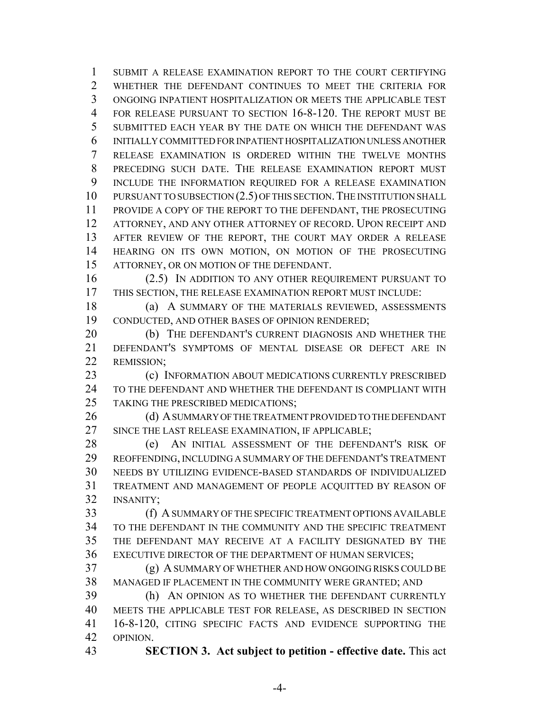SUBMIT A RELEASE EXAMINATION REPORT TO THE COURT CERTIFYING WHETHER THE DEFENDANT CONTINUES TO MEET THE CRITERIA FOR ONGOING INPATIENT HOSPITALIZATION OR MEETS THE APPLICABLE TEST FOR RELEASE PURSUANT TO SECTION 16-8-120. THE REPORT MUST BE SUBMITTED EACH YEAR BY THE DATE ON WHICH THE DEFENDANT WAS INITIALLY COMMITTED FOR INPATIENT HOSPITALIZATION UNLESS ANOTHER RELEASE EXAMINATION IS ORDERED WITHIN THE TWELVE MONTHS PRECEDING SUCH DATE. THE RELEASE EXAMINATION REPORT MUST INCLUDE THE INFORMATION REQUIRED FOR A RELEASE EXAMINATION 10 PURSUANT TO SUBSECTION (2.5) OF THIS SECTION. THE INSTITUTION SHALL PROVIDE A COPY OF THE REPORT TO THE DEFENDANT, THE PROSECUTING ATTORNEY, AND ANY OTHER ATTORNEY OF RECORD. UPON RECEIPT AND AFTER REVIEW OF THE REPORT, THE COURT MAY ORDER A RELEASE HEARING ON ITS OWN MOTION, ON MOTION OF THE PROSECUTING ATTORNEY, OR ON MOTION OF THE DEFENDANT.

 (2.5) IN ADDITION TO ANY OTHER REQUIREMENT PURSUANT TO THIS SECTION, THE RELEASE EXAMINATION REPORT MUST INCLUDE:

 (a) A SUMMARY OF THE MATERIALS REVIEWED, ASSESSMENTS CONDUCTED, AND OTHER BASES OF OPINION RENDERED;

 (b) THE DEFENDANT'S CURRENT DIAGNOSIS AND WHETHER THE DEFENDANT'S SYMPTOMS OF MENTAL DISEASE OR DEFECT ARE IN REMISSION;

**(c) INFORMATION ABOUT MEDICATIONS CURRENTLY PRESCRIBED**  TO THE DEFENDANT AND WHETHER THE DEFENDANT IS COMPLIANT WITH 25 TAKING THE PRESCRIBED MEDICATIONS:

26 (d) A SUMMARY OF THE TREATMENT PROVIDED TO THE DEFENDANT 27 SINCE THE LAST RELEASE EXAMINATION, IF APPLICABLE;

28 (e) AN INITIAL ASSESSMENT OF THE DEFENDANT'S RISK OF REOFFENDING, INCLUDING A SUMMARY OF THE DEFENDANT'S TREATMENT NEEDS BY UTILIZING EVIDENCE-BASED STANDARDS OF INDIVIDUALIZED TREATMENT AND MANAGEMENT OF PEOPLE ACQUITTED BY REASON OF INSANITY;

 (f) A SUMMARY OF THE SPECIFIC TREATMENT OPTIONS AVAILABLE TO THE DEFENDANT IN THE COMMUNITY AND THE SPECIFIC TREATMENT THE DEFENDANT MAY RECEIVE AT A FACILITY DESIGNATED BY THE EXECUTIVE DIRECTOR OF THE DEPARTMENT OF HUMAN SERVICES;

 (g) A SUMMARY OF WHETHER AND HOW ONGOING RISKS COULD BE MANAGED IF PLACEMENT IN THE COMMUNITY WERE GRANTED; AND

 (h) AN OPINION AS TO WHETHER THE DEFENDANT CURRENTLY MEETS THE APPLICABLE TEST FOR RELEASE, AS DESCRIBED IN SECTION 16-8-120, CITING SPECIFIC FACTS AND EVIDENCE SUPPORTING THE OPINION.

**SECTION 3. Act subject to petition - effective date.** This act